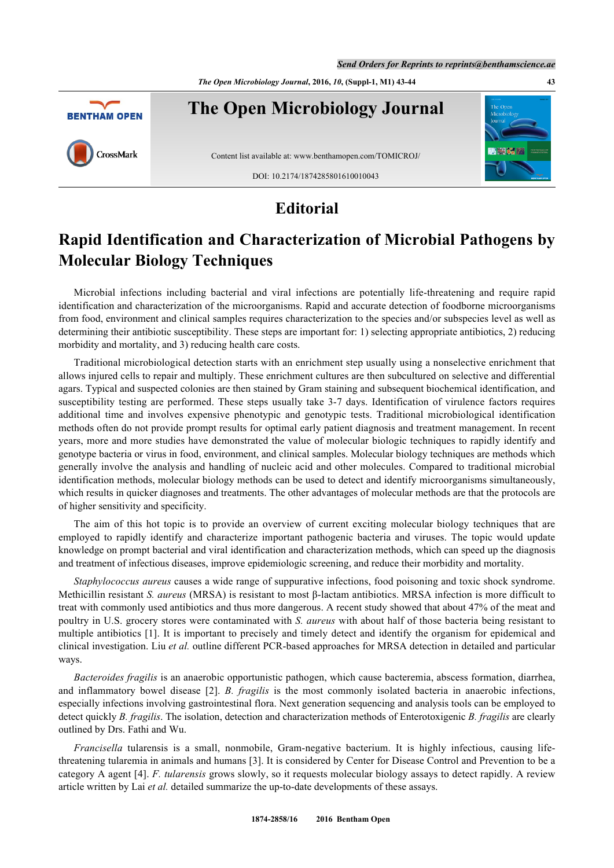*The Open Microbiology Journal***, 2016,** *10***, (Suppl-1, M1) 43-44 43**



## **Editorial**

## **Rapid Identification and Characterization of Microbial Pathogens by Molecular Biology Techniques**

Microbial infections including bacterial and viral infections are potentially life-threatening and require rapid identification and characterization of the microorganisms. Rapid and accurate detection of foodborne microorganisms from food, environment and clinical samples requires characterization to the species and/or subspecies level as well as determining their antibiotic susceptibility. These steps are important for: 1) selecting appropriate antibiotics, 2) reducing morbidity and mortality, and 3) reducing health care costs.

Traditional microbiological detection starts with an enrichment step usually using a nonselective enrichment that allows injured cells to repair and multiply. These enrichment cultures are then subcultured on selective and differential agars. Typical and suspected colonies are then stained by Gram staining and subsequent biochemical identification, and susceptibility testing are performed. These steps usually take 3-7 days. Identification of virulence factors requires additional time and involves expensive phenotypic and genotypic tests. Traditional microbiological identification methods often do not provide prompt results for optimal early patient diagnosis and treatment management. In recent years, more and more studies have demonstrated the value of molecular biologic techniques to rapidly identify and genotype bacteria or virus in food, environment, and clinical samples. Molecular biology techniques are methods which generally involve the analysis and handling of nucleic acid and other molecules. Compared to traditional microbial identification methods, molecular biology methods can be used to detect and identify microorganisms simultaneously, which results in quicker diagnoses and treatments. The other advantages of molecular methods are that the protocols are of higher sensitivity and specificity.

The aim of this hot topic is to provide an overview of current exciting molecular biology techniques that are employed to rapidly identify and characterize important pathogenic bacteria and viruses. The topic would update knowledge on prompt bacterial and viral identification and characterization methods, which can speed up the diagnosis and treatment of infectious diseases, improve epidemiologic screening, and reduce their morbidity and mortality.

*Staphylococcus aureus* causes a wide range of suppurative infections, food poisoning and toxic shock syndrome. Methicillin resistant *S. aureus* (MRSA) is resistant to most β-lactam antibiotics. MRSA infection is more difficult to treat with commonly used antibiotics and thus more dangerous. A recent study showed that about 47% of the meat and poultry in U.S. grocery stores were contaminated with *S. aureus* with about half of those bacteria being resistant to multiple antibiotics [[1](#page-1-0)]. It is important to precisely and timely detect and identify the organism for epidemical and clinical investigation. Liu *et al.* outline different PCR-based approaches for MRSA detection in detailed and particular ways.

*Bacteroides fragilis* is an anaerobic opportunistic pathogen, which cause bacteremia, abscess formation, diarrhea, and inflammatory bowel disease[[2\]](#page-1-1). *B. fragilis* is the most commonly isolated bacteria in anaerobic infections, especially infections involving gastrointestinal flora. Next generation sequencing and analysis tools can be employed to detect quickly *B. fragilis*. The isolation, detection and characterization methods of Enterotoxigenic *B. fragilis* are clearly outlined by Drs. Fathi and Wu.

*Francisella* tularensis is a small, nonmobile, Gram-negative bacterium. It is highly infectious, causing lifethreatening tularemia in animals and humans [[3](#page-1-2)]. It is considered by Center for Disease Control and Prevention to be a category A agent [[4\]](#page-1-3). *F. tularensis* grows slowly, so it requests molecular biology assays to detect rapidly. A review article written by Lai *et al.* detailed summarize the up-to-date developments of these assays.